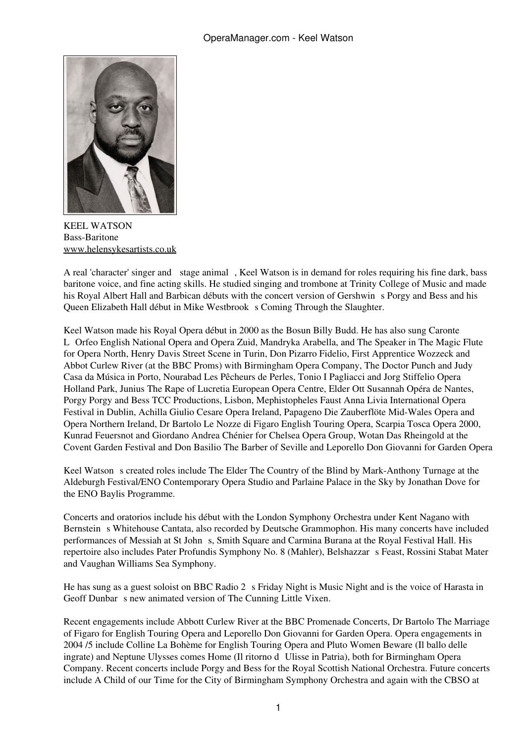<span id="page-0-0"></span>

KEEL WATSON Bass-Baritone [www.helensykesartists.co.uk](#page-0-0)

A real 'character' singer and stage animal, Keel Watson is in demand for roles requiring his fine dark, bass baritone voice, and fine acting skills. He studied singing and trombone at Trinity College of Music and made his Royal Albert Hall and Barbican débuts with the concert version of Gershwin s Porgy and Bess and his Queen Elizabeth Hall début in Mike Westbrook s Coming Through the Slaughter.

Keel Watson made his Royal Opera début in 2000 as the Bosun Billy Budd. He has also sung Caronte LOrfeo English National Opera and Opera Zuid, Mandryka Arabella, and The Speaker in The Magic Flute for Opera North, Henry Davis Street Scene in Turin, Don Pizarro Fidelio, First Apprentice Wozzeck and Abbot Curlew River (at the BBC Proms) with Birmingham Opera Company, The Doctor Punch and Judy Casa da Música in Porto, Nourabad Les Pêcheurs de Perles, Tonio I Pagliacci and Jorg Stiffelio Opera Holland Park, Junius The Rape of Lucretia European Opera Centre, Elder Ott Susannah Opéra de Nantes, Porgy Porgy and Bess TCC Productions, Lisbon, Mephistopheles Faust Anna Livia International Opera Festival in Dublin, Achilla Giulio Cesare Opera Ireland, Papageno Die Zauberflöte Mid-Wales Opera and Opera Northern Ireland, Dr Bartolo Le Nozze di Figaro English Touring Opera, Scarpia Tosca Opera 2000, Kunrad Feuersnot and Giordano Andrea Chénier for Chelsea Opera Group, Wotan Das Rheingold at the Covent Garden Festival and Don Basilio The Barber of Seville and Leporello Don Giovanni for Garden Opera

Keel Watson s created roles include The Elder The Country of the Blind by Mark-Anthony Turnage at the Aldeburgh Festival/ENO Contemporary Opera Studio and Parlaine Palace in the Sky by Jonathan Dove for the ENO Baylis Programme.

Concerts and oratorios include his début with the London Symphony Orchestra under Kent Nagano with Bernstein s Whitehouse Cantata, also recorded by Deutsche Grammophon. His many concerts have included performances of Messiah at St Johns, Smith Square and Carmina Burana at the Royal Festival Hall. His repertoire also includes Pater Profundis Symphony No. 8 (Mahler), Belshazzars Feast, Rossini Stabat Mater and Vaughan Williams Sea Symphony.

He has sung as a guest soloist on BBC Radio 2 s Friday Night is Music Night and is the voice of Harasta in Geoff Dunbar s new animated version of The Cunning Little Vixen.

Recent engagements include Abbott Curlew River at the BBC Promenade Concerts, Dr Bartolo The Marriage of Figaro for English Touring Opera and Leporello Don Giovanni for Garden Opera. Opera engagements in 2004 /5 include Colline La Bohème for English Touring Opera and Pluto Women Beware (Il ballo delle ingrate) and Neptune Ulysses comes Home (Il ritorno d Ulisse in Patria), both for Birmingham Opera Company. Recent concerts include Porgy and Bess for the Royal Scottish National Orchestra. Future concerts include A Child of our Time for the City of Birmingham Symphony Orchestra and again with the CBSO at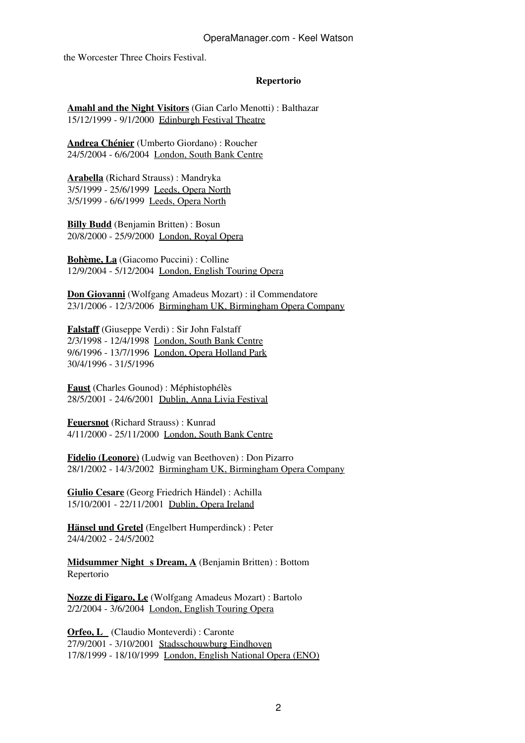## OperaManager.com - Keel Watson

the Worcester Three Choirs Festival.

## **Repertorio**

**[Amahl and the Night Visitors](#page-0-0)** (Gian Carlo Menotti) : Balthazar 15/12/1999 - 9/1/2000 [Edinburgh Festival Theatre](#page-0-0)

**[Andrea Chénier](#page-0-0)** (Umberto Giordano) : Roucher 24/5/2004 - 6/6/2004 [London, South Bank Centre](#page-0-0)

**[Arabella](#page-0-0)** (Richard Strauss) : Mandryka 3/5/1999 - 25/6/1999 [Leeds, Opera North](#page-0-0) 3/5/1999 - 6/6/1999 [Leeds, Opera North](#page-0-0)

**[Billy Budd](#page-0-0)** (Benjamin Britten) : Bosun 20/8/2000 - 25/9/2000 [London, Royal Opera](#page-0-0)

**[Bohème, La](#page-0-0)** (Giacomo Puccini) : Colline 12/9/2004 - 5/12/2004 [London, English Touring Opera](#page-0-0)

**[Don Giovanni](#page-0-0)** (Wolfgang Amadeus Mozart) : il Commendatore 23/1/2006 - 12/3/2006 [Birmingham UK, Birmingham Opera Company](#page-0-0)

**[Falstaff](#page-0-0)** (Giuseppe Verdi) : Sir John Falstaff 2/3/1998 - 12/4/1998 [London, South Bank Centre](#page-0-0) 9/6/1996 - 13/7/1996 [London, Opera Holland Park](#page-0-0) 30/4/1996 - 31/5/1996

**[Faust](#page-0-0)** (Charles Gounod) : Méphistophélès 28/5/2001 - 24/6/2001 [Dublin, Anna Livia Festival](#page-0-0)

**[Feuersnot](#page-0-0)** (Richard Strauss) : Kunrad 4/11/2000 - 25/11/2000 [London, South Bank Centre](#page-0-0)

**[Fidelio \(Leonore\)](#page-0-0)** (Ludwig van Beethoven) : Don Pizarro 28/1/2002 - 14/3/2002 [Birmingham UK, Birmingham Opera Company](#page-0-0)

**[Giulio Cesare](#page-0-0)** (Georg Friedrich Händel) : Achilla 15/10/2001 - 22/11/2001 [Dublin, Opera Ireland](#page-0-0)

**[Hänsel und Gretel](#page-0-0)** (Engelbert Humperdinck) : Peter 24/4/2002 - 24/5/2002

**Midsummer Night s Dream, A** (Benjamin Britten) : Bottom Repertorio

**[Nozze di Figaro, Le](#page-0-0)** (Wolfgang Amadeus Mozart) : Bartolo 2/2/2004 - 3/6/2004 [London, English Touring Opera](#page-0-0)

**[Orfeo, L](#page-0-0)** (Claudio Monteverdi) : Caronte 27/9/2001 - 3/10/2001 [Stadsschouwburg Eindhoven](#page-0-0) 17/8/1999 - 18/10/1999 [London, English National Opera \(ENO\)](#page-0-0)